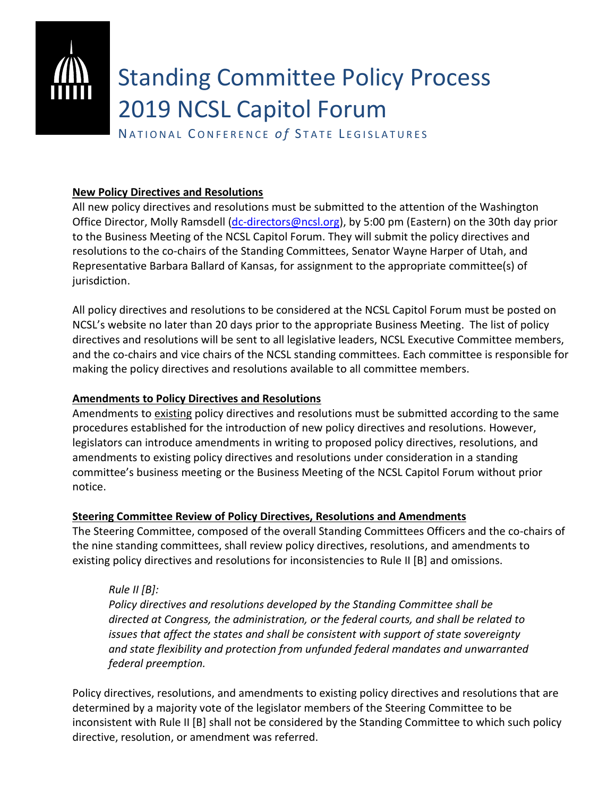# Standing Committee Policy Process 2019 NCSL Capitol Forum

NATIONAL CONFERENCE of STATE LEGISLATURES

# **New Policy Directives and Resolutions**

All new policy directives and resolutions must be submitted to the attention of the Washington Office Director, Molly Ramsdell [\(dc-directors@ncsl.org\)](mailto:dc-directors@ncsl.org), by 5:00 pm (Eastern) on the 30th day prior to the Business Meeting of the NCSL Capitol Forum. They will submit the policy directives and resolutions to the co-chairs of the Standing Committees, Senator Wayne Harper of Utah, and Representative Barbara Ballard of Kansas, for assignment to the appropriate committee(s) of jurisdiction.

All policy directives and resolutions to be considered at the NCSL Capitol Forum must be posted on NCSL's website no later than 20 days prior to the appropriate Business Meeting. The list of policy directives and resolutions will be sent to all legislative leaders, NCSL Executive Committee members, and the co-chairs and vice chairs of the NCSL standing committees. Each committee is responsible for making the policy directives and resolutions available to all committee members.

# **Amendments to Policy Directives and Resolutions**

Amendments to existing policy directives and resolutions must be submitted according to the same procedures established for the introduction of new policy directives and resolutions. However, legislators can introduce amendments in writing to proposed policy directives, resolutions, and amendments to existing policy directives and resolutions under consideration in a standing committee's business meeting or the Business Meeting of the NCSL Capitol Forum without prior notice.

# **Steering Committee Review of Policy Directives, Resolutions and Amendments**

The Steering Committee, composed of the overall Standing Committees Officers and the co-chairs of the nine standing committees, shall review policy directives, resolutions, and amendments to existing policy directives and resolutions for inconsistencies to Rule II [B] and omissions.

# *Rule II [B]:*

*Policy directives and resolutions developed by the Standing Committee shall be directed at Congress, the administration, or the federal courts, and shall be related to issues that affect the states and shall be consistent with support of state sovereignty and state flexibility and protection from unfunded federal mandates and unwarranted federal preemption.* 

Policy directives, resolutions, and amendments to existing policy directives and resolutions that are determined by a majority vote of the legislator members of the Steering Committee to be inconsistent with Rule II [B] shall not be considered by the Standing Committee to which such policy directive, resolution, or amendment was referred.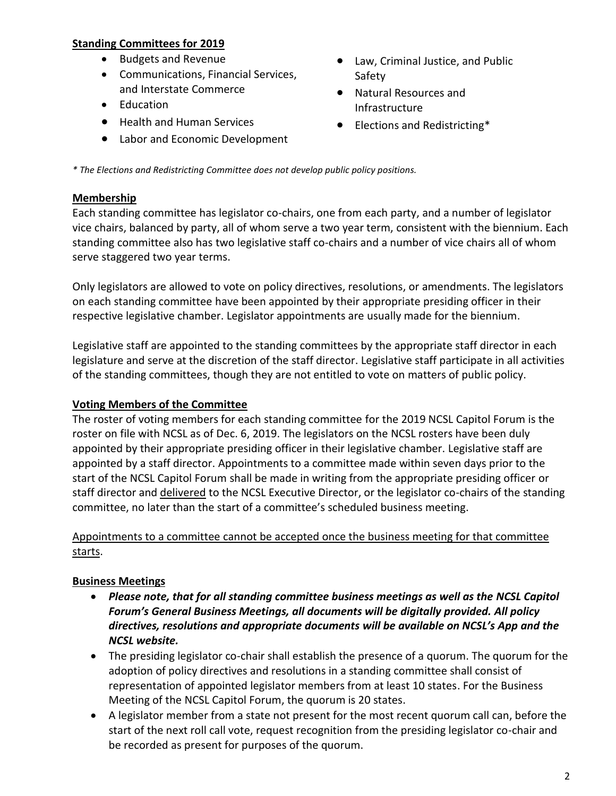#### **Standing Committees for 2019**

- Budgets and Revenue
- Communications, Financial Services, and Interstate Commerce
- Education
- Health and Human Services
- Labor and Economic Development
- Law, Criminal Justice, and Public Safety
- Natural Resources and Infrastructure
- Elections and Redistricting\*

*\* The Elections and Redistricting Committee does not develop public policy positions.*

#### **Membership**

Each standing committee has legislator co-chairs, one from each party, and a number of legislator vice chairs, balanced by party, all of whom serve a two year term, consistent with the biennium. Each standing committee also has two legislative staff co-chairs and a number of vice chairs all of whom serve staggered two year terms.

Only legislators are allowed to vote on policy directives, resolutions, or amendments. The legislators on each standing committee have been appointed by their appropriate presiding officer in their respective legislative chamber. Legislator appointments are usually made for the biennium.

Legislative staff are appointed to the standing committees by the appropriate staff director in each legislature and serve at the discretion of the staff director. Legislative staff participate in all activities of the standing committees, though they are not entitled to vote on matters of public policy.

# **Voting Members of the Committee**

The roster of voting members for each standing committee for the 2019 NCSL Capitol Forum is the roster on file with NCSL as of Dec. 6, 2019. The legislators on the NCSL rosters have been duly appointed by their appropriate presiding officer in their legislative chamber. Legislative staff are appointed by a staff director. Appointments to a committee made within seven days prior to the start of the NCSL Capitol Forum shall be made in writing from the appropriate presiding officer or staff director and delivered to the NCSL Executive Director, or the legislator co-chairs of the standing committee, no later than the start of a committee's scheduled business meeting.

#### Appointments to a committee cannot be accepted once the business meeting for that committee starts.

# **Business Meetings**

- *Please note, that for all standing committee business meetings as well as the NCSL Capitol Forum's General Business Meetings, all documents will be digitally provided. All policy directives, resolutions and appropriate documents will be available on NCSL's App and the NCSL website.*
- The presiding legislator co-chair shall establish the presence of a quorum. The quorum for the adoption of policy directives and resolutions in a standing committee shall consist of representation of appointed legislator members from at least 10 states. For the Business Meeting of the NCSL Capitol Forum, the quorum is 20 states.
- A legislator member from a state not present for the most recent quorum call can, before the start of the next roll call vote, request recognition from the presiding legislator co-chair and be recorded as present for purposes of the quorum.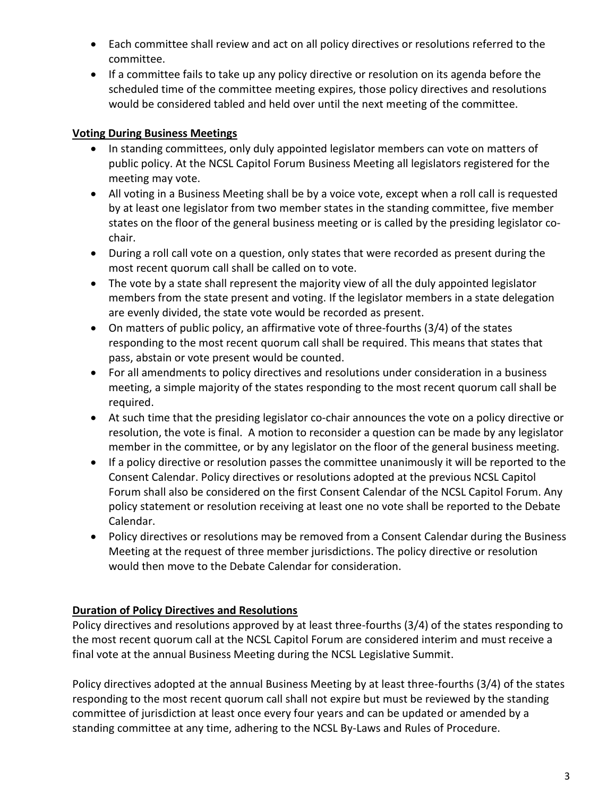- Each committee shall review and act on all policy directives or resolutions referred to the committee.
- If a committee fails to take up any policy directive or resolution on its agenda before the scheduled time of the committee meeting expires, those policy directives and resolutions would be considered tabled and held over until the next meeting of the committee.

# **Voting During Business Meetings**

- In standing committees, only duly appointed legislator members can vote on matters of public policy. At the NCSL Capitol Forum Business Meeting all legislators registered for the meeting may vote.
- All voting in a Business Meeting shall be by a voice vote, except when a roll call is requested by at least one legislator from two member states in the standing committee, five member states on the floor of the general business meeting or is called by the presiding legislator cochair.
- During a roll call vote on a question, only states that were recorded as present during the most recent quorum call shall be called on to vote.
- The vote by a state shall represent the majority view of all the duly appointed legislator members from the state present and voting. If the legislator members in a state delegation are evenly divided, the state vote would be recorded as present.
- On matters of public policy, an affirmative vote of three-fourths (3/4) of the states responding to the most recent quorum call shall be required. This means that states that pass, abstain or vote present would be counted.
- For all amendments to policy directives and resolutions under consideration in a business meeting, a simple majority of the states responding to the most recent quorum call shall be required.
- At such time that the presiding legislator co-chair announces the vote on a policy directive or resolution, the vote is final. A motion to reconsider a question can be made by any legislator member in the committee, or by any legislator on the floor of the general business meeting.
- If a policy directive or resolution passes the committee unanimously it will be reported to the Consent Calendar. Policy directives or resolutions adopted at the previous NCSL Capitol Forum shall also be considered on the first Consent Calendar of the NCSL Capitol Forum. Any policy statement or resolution receiving at least one no vote shall be reported to the Debate Calendar.
- Policy directives or resolutions may be removed from a Consent Calendar during the Business Meeting at the request of three member jurisdictions. The policy directive or resolution would then move to the Debate Calendar for consideration.

# **Duration of Policy Directives and Resolutions**

Policy directives and resolutions approved by at least three-fourths (3/4) of the states responding to the most recent quorum call at the NCSL Capitol Forum are considered interim and must receive a final vote at the annual Business Meeting during the NCSL Legislative Summit.

Policy directives adopted at the annual Business Meeting by at least three-fourths (3/4) of the states responding to the most recent quorum call shall not expire but must be reviewed by the standing committee of jurisdiction at least once every four years and can be updated or amended by a standing committee at any time, adhering to the NCSL By-Laws and Rules of Procedure.